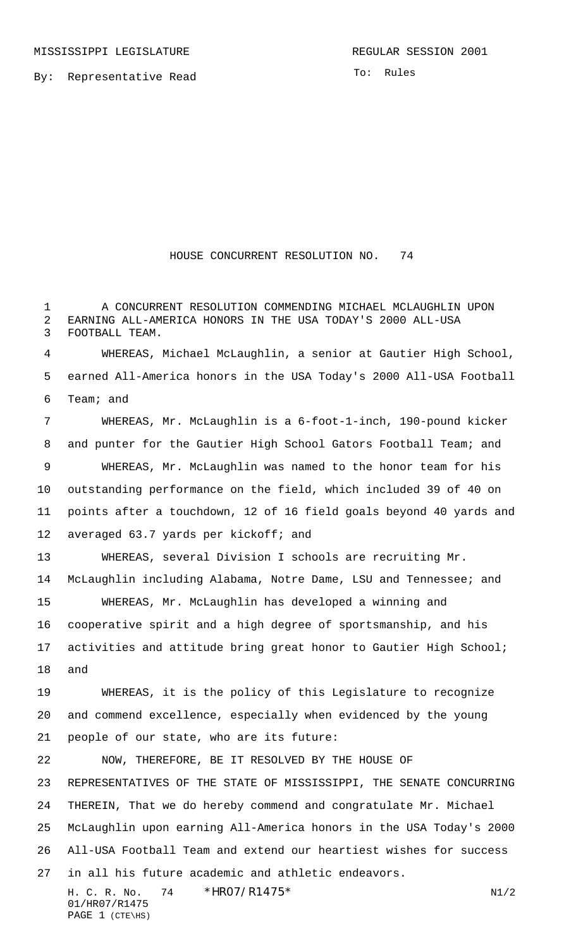By: Representative Read

To: Rules

## HOUSE CONCURRENT RESOLUTION NO. 74

 A CONCURRENT RESOLUTION COMMENDING MICHAEL MCLAUGHLIN UPON EARNING ALL-AMERICA HONORS IN THE USA TODAY'S 2000 ALL-USA FOOTBALL TEAM.

 WHEREAS, Michael McLaughlin, a senior at Gautier High School, earned All-America honors in the USA Today's 2000 All-USA Football Team; and

 WHEREAS, Mr. McLaughlin is a 6-foot-1-inch, 190-pound kicker and punter for the Gautier High School Gators Football Team; and WHEREAS, Mr. McLaughlin was named to the honor team for his outstanding performance on the field, which included 39 of 40 on points after a touchdown, 12 of 16 field goals beyond 40 yards and averaged 63.7 yards per kickoff; and WHEREAS, several Division I schools are recruiting Mr.

 McLaughlin including Alabama, Notre Dame, LSU and Tennessee; and WHEREAS, Mr. McLaughlin has developed a winning and cooperative spirit and a high degree of sportsmanship, and his activities and attitude bring great honor to Gautier High School; and

 WHEREAS, it is the policy of this Legislature to recognize and commend excellence, especially when evidenced by the young

NOW, THEREFORE, BE IT RESOLVED BY THE HOUSE OF

people of our state, who are its future:

 REPRESENTATIVES OF THE STATE OF MISSISSIPPI, THE SENATE CONCURRING THEREIN, That we do hereby commend and congratulate Mr. Michael McLaughlin upon earning All-America honors in the USA Today's 2000 All-USA Football Team and extend our heartiest wishes for success in all his future academic and athletic endeavors.

H. C. R. No. \*  $HR07/R1475*$  N1/2 01/HR07/R1475 PAGE 1 (CTE\HS)